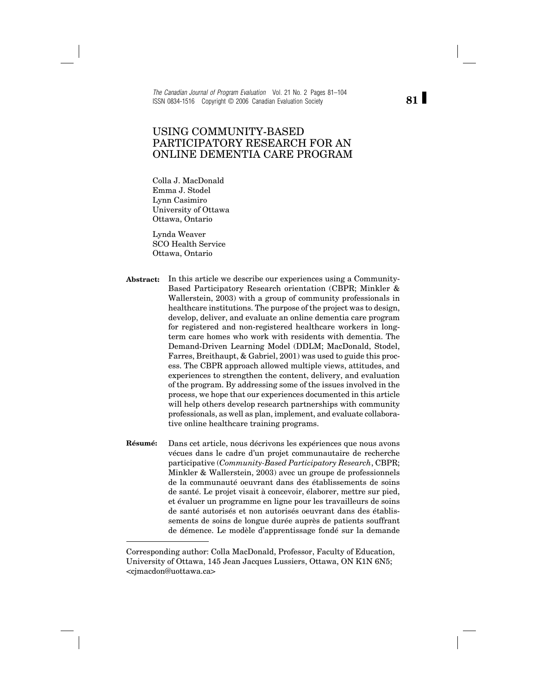*The Canadian Journal of Program Evaluation* Vol. 21 No. 2 Pages 81–104 ISSN 0834-1516 Copyright © 2006 Canadian Evaluation Society

# USING COMMUNITY-BASED PARTICIPATORY RESEARCH FOR AN ONLINE DEMENTIA CARE PROGRAM

Colla J. MacDonald Emma J. Stodel Lynn Casimiro University of Ottawa Ottawa, Ontario

Lynda Weaver SCO Health Service Ottawa, Ontario

- **Abstract:** In this article we describe our experiences using a Community-Based Participatory Research orientation (CBPR; Minkler & Wallerstein, 2003) with a group of community professionals in healthcare institutions. The purpose of the project was to design, develop, deliver, and evaluate an online dementia care program for registered and non-registered healthcare workers in longterm care homes who work with residents with dementia. The Demand-Driven Learning Model (DDLM; MacDonald, Stodel, Farres, Breithaupt, & Gabriel, 2001) was used to guide this process. The CBPR approach allowed multiple views, attitudes, and experiences to strengthen the content, delivery, and evaluation of the program. By addressing some of the issues involved in the process, we hope that our experiences documented in this article will help others develop research partnerships with community professionals, as well as plan, implement, and evaluate collaborative online healthcare training programs.
- **Résumé:** Dans cet article, nous décrivons les expériences que nous avons vécues dans le cadre d'un projet communautaire de recherche participative (*Community-Based Participatory Research*, CBPR; Minkler & Wallerstein, 2003) avec un groupe de professionnels de la communauté oeuvrant dans des établissements de soins de santé. Le projet visait à concevoir, élaborer, mettre sur pied, et évaluer un programme en ligne pour les travailleurs de soins de santé autorisés et non autorisés oeuvrant dans des établissements de soins de longue durée auprès de patients souffrant de démence. Le modèle d'apprentissage fondé sur la demande

**81**

Corresponding author: Colla MacDonald, Professor, Faculty of Education, University of Ottawa, 145 Jean Jacques Lussiers, Ottawa, ON K1N 6N5; <cjmacdon@uottawa.ca>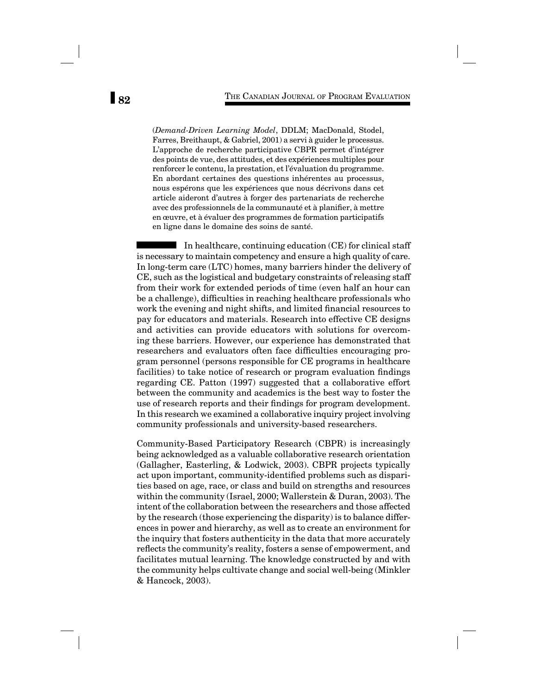(*Demand-Driven Learning Model*, DDLM; MacDonald, Stodel, Farres, Breithaupt, & Gabriel, 2001) a servi à guider le processus. L'approche de recherche participative CBPR permet d'intégrer des points de vue, des attitudes, et des expériences multiples pour renforcer le contenu, la prestation, et l'évaluation du programme. En abordant certaines des questions inhérentes au processus, nous espérons que les expériences que nous décrivons dans cet article aideront d'autres à forger des partenariats de recherche avec des professionnels de la communauté et à planifier, à mettre en œuvre, et à évaluer des programmes de formation participatifs en ligne dans le domaine des soins de santé.

In healthcare, continuing education (CE) for clinical staff is necessary to maintain competency and ensure a high quality of care. In long-term care (LTC) homes, many barriers hinder the delivery of CE, such as the logistical and budgetary constraints of releasing staff from their work for extended periods of time (even half an hour can be a challenge), difficulties in reaching healthcare professionals who work the evening and night shifts, and limited financial resources to pay for educators and materials. Research into effective CE designs and activities can provide educators with solutions for overcoming these barriers. However, our experience has demonstrated that researchers and evaluators often face difficulties encouraging program personnel (persons responsible for CE programs in healthcare facilities) to take notice of research or program evaluation findings regarding CE. Patton (1997) suggested that a collaborative effort between the community and academics is the best way to foster the use of research reports and their findings for program development. In this research we examined a collaborative inquiry project involving community professionals and university-based researchers.

Community-Based Participatory Research (CBPR) is increasingly being acknowledged as a valuable collaborative research orientation (Gallagher, Easterling, & Lodwick, 2003). CBPR projects typically act upon important, community-identified problems such as disparities based on age, race, or class and build on strengths and resources within the community (Israel, 2000; Wallerstein & Duran, 2003). The intent of the collaboration between the researchers and those affected by the research (those experiencing the disparity) is to balance differences in power and hierarchy, as well as to create an environment for the inquiry that fosters authenticity in the data that more accurately reflects the community's reality, fosters a sense of empowerment, and facilitates mutual learning. The knowledge constructed by and with the community helps cultivate change and social well-being (Minkler & Hancock, 2003).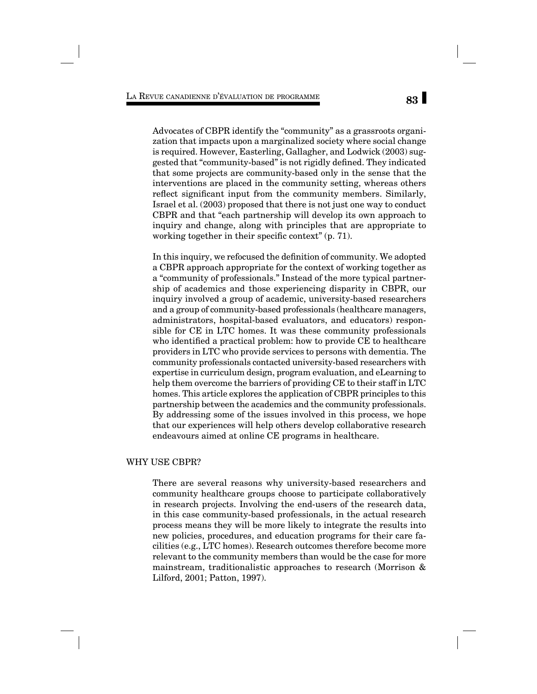Advocates of CBPR identify the "community" as a grassroots organization that impacts upon a marginalized society where social change is required. However, Easterling, Gallagher, and Lodwick (2003) suggested that "community-based" is not rigidly defined. They indicated that some projects are community-based only in the sense that the interventions are placed in the community setting, whereas others reflect significant input from the community members. Similarly, Israel et al. (2003) proposed that there is not just one way to conduct CBPR and that "each partnership will develop its own approach to inquiry and change, along with principles that are appropriate to working together in their specific context"  $(p. 71)$ .

In this inquiry, we refocused the definition of community. We adopted a CBPR approach appropriate for the context of working together as a "community of professionals." Instead of the more typical partnership of academics and those experiencing disparity in CBPR, our inquiry involved a group of academic, university-based researchers and a group of community-based professionals (healthcare managers, administrators, hospital-based evaluators, and educators) responsible for CE in LTC homes. It was these community professionals who identified a practical problem: how to provide CE to healthcare providers in LTC who provide services to persons with dementia. The community professionals contacted university-based researchers with expertise in curriculum design, program evaluation, and eLearning to help them overcome the barriers of providing CE to their staff in LTC homes. This article explores the application of CBPR principles to this partnership between the academics and the community professionals. By addressing some of the issues involved in this process, we hope that our experiences will help others develop collaborative research endeavours aimed at online CE programs in healthcare.

# WHY USE CBPR?

There are several reasons why university-based researchers and community healthcare groups choose to participate collaboratively in research projects. Involving the end-users of the research data, in this case community-based professionals, in the actual research process means they will be more likely to integrate the results into new policies, procedures, and education programs for their care facilities (e.g., LTC homes). Research outcomes therefore become more relevant to the community members than would be the case for more mainstream, traditionalistic approaches to research (Morrison & Lilford, 2001; Patton, 1997).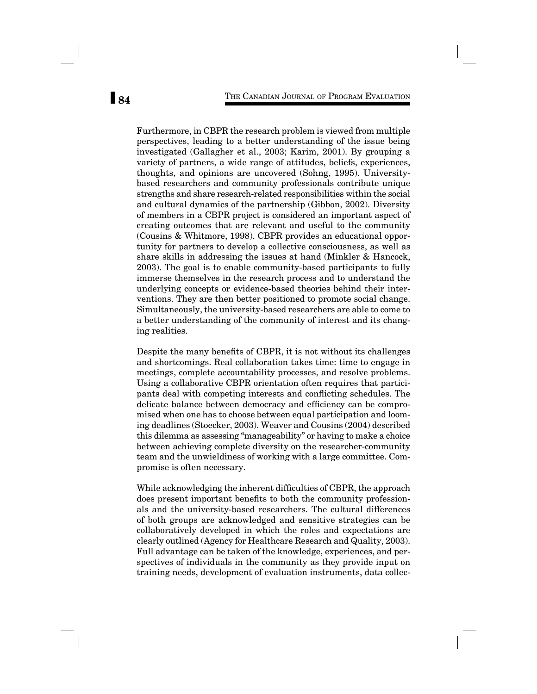Furthermore, in CBPR the research problem is viewed from multiple perspectives, leading to a better understanding of the issue being investigated (Gallagher et al., 2003; Karim, 2001). By grouping a variety of partners, a wide range of attitudes, beliefs, experiences, thoughts, and opinions are uncovered (Sohng, 1995). Universitybased researchers and community professionals contribute unique strengths and share research-related responsibilities within the social and cultural dynamics of the partnership (Gibbon, 2002). Diversity of members in a CBPR project is considered an important aspect of creating outcomes that are relevant and useful to the community (Cousins & Whitmore, 1998). CBPR provides an educational opportunity for partners to develop a collective consciousness, as well as share skills in addressing the issues at hand (Minkler & Hancock, 2003). The goal is to enable community-based participants to fully immerse themselves in the research process and to understand the underlying concepts or evidence-based theories behind their interventions. They are then better positioned to promote social change. Simultaneously, the university-based researchers are able to come to a better understanding of the community of interest and its changing realities.

Despite the many benefits of CBPR, it is not without its challenges and shortcomings. Real collaboration takes time: time to engage in meetings, complete accountability processes, and resolve problems. Using a collaborative CBPR orientation often requires that participants deal with competing interests and conflicting schedules. The delicate balance between democracy and efficiency can be compromised when one has to choose between equal participation and looming deadlines (Stoecker, 2003). Weaver and Cousins (2004) described this dilemma as assessing "manageability" or having to make a choice between achieving complete diversity on the researcher-community team and the unwieldiness of working with a large committee. Compromise is often necessary.

While acknowledging the inherent difficulties of CBPR, the approach does present important benefits to both the community professionals and the university-based researchers. The cultural differences of both groups are acknowledged and sensitive strategies can be collaboratively developed in which the roles and expectations are clearly outlined (Agency for Healthcare Research and Quality, 2003). Full advantage can be taken of the knowledge, experiences, and perspectives of individuals in the community as they provide input on training needs, development of evaluation instruments, data collec-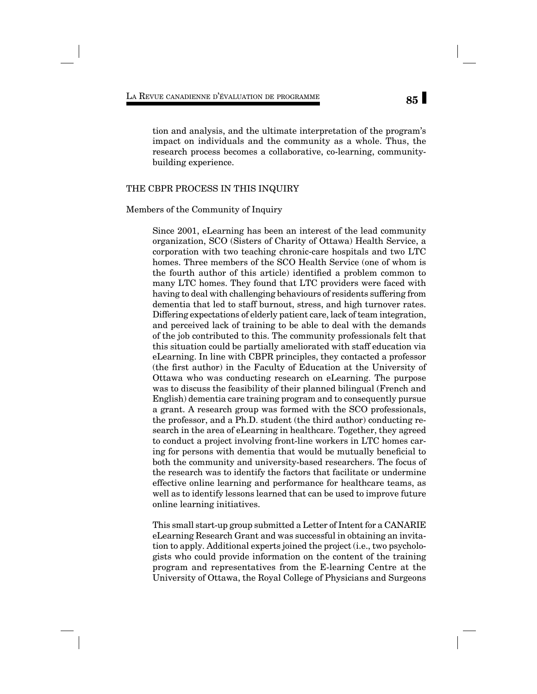# **85** LA REVUE CANADIENNE D'ÉVALUATION DE PROGRAMME

tion and analysis, and the ultimate interpretation of the program's impact on individuals and the community as a whole. Thus, the research process becomes a collaborative, co-learning, communitybuilding experience.

# THE CBPR PROCESS IN THIS INQUIRY

#### Members of the Community of Inquiry

Since 2001, eLearning has been an interest of the lead community organization, SCO (Sisters of Charity of Ottawa) Health Service, a corporation with two teaching chronic-care hospitals and two LTC homes. Three members of the SCO Health Service (one of whom is the fourth author of this article) identified a problem common to many LTC homes. They found that LTC providers were faced with having to deal with challenging behaviours of residents suffering from dementia that led to staff burnout, stress, and high turnover rates. Differing expectations of elderly patient care, lack of team integration, and perceived lack of training to be able to deal with the demands of the job contributed to this. The community professionals felt that this situation could be partially ameliorated with staff education via eLearning. In line with CBPR principles, they contacted a professor (the first author) in the Faculty of Education at the University of Ottawa who was conducting research on eLearning. The purpose was to discuss the feasibility of their planned bilingual (French and English) dementia care training program and to consequently pursue a grant. A research group was formed with the SCO professionals, the professor, and a Ph.D. student (the third author) conducting research in the area of eLearning in healthcare. Together, they agreed to conduct a project involving front-line workers in LTC homes caring for persons with dementia that would be mutually beneficial to both the community and university-based researchers. The focus of the research was to identify the factors that facilitate or undermine effective online learning and performance for healthcare teams, as well as to identify lessons learned that can be used to improve future online learning initiatives.

This small start-up group submitted a Letter of Intent for a CANARIE eLearning Research Grant and was successful in obtaining an invitation to apply. Additional experts joined the project (i.e., two psychologists who could provide information on the content of the training program and representatives from the E-learning Centre at the University of Ottawa, the Royal College of Physicians and Surgeons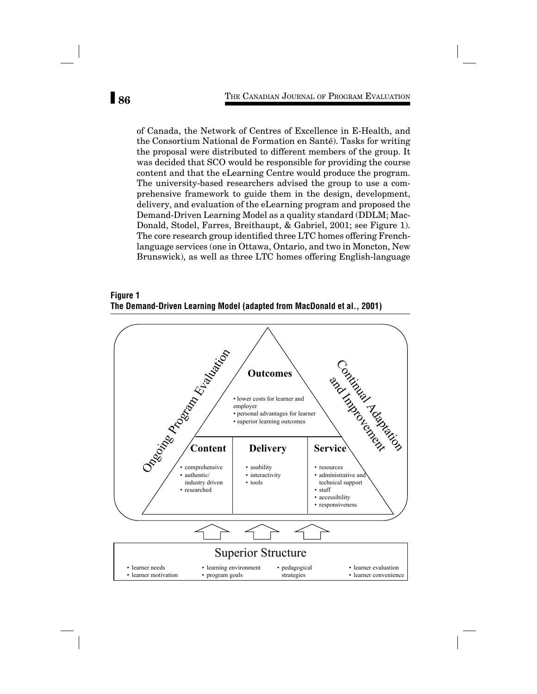of Canada, the Network of Centres of Excellence in E-Health, and the Consortium National de Formation en Santé). Tasks for writing the proposal were distributed to different members of the group. It was decided that SCO would be responsible for providing the course content and that the eLearning Centre would produce the program. The university-based researchers advised the group to use a comprehensive framework to guide them in the design, development, delivery, and evaluation of the eLearning program and proposed the Demand-Driven Learning Model as a quality standard (DDLM; Mac-Donald, Stodel, Farres, Breithaupt, & Gabriel, 2001; see Figure 1). The core research group identified three LTC homes offering Frenchlanguage services (one in Ottawa, Ontario, and two in Moncton, New Brunswick), as well as three LTC homes offering English-language

**Figure 1 The Demand-Driven Learning Model (adapted from MacDonald et al., 2001)**

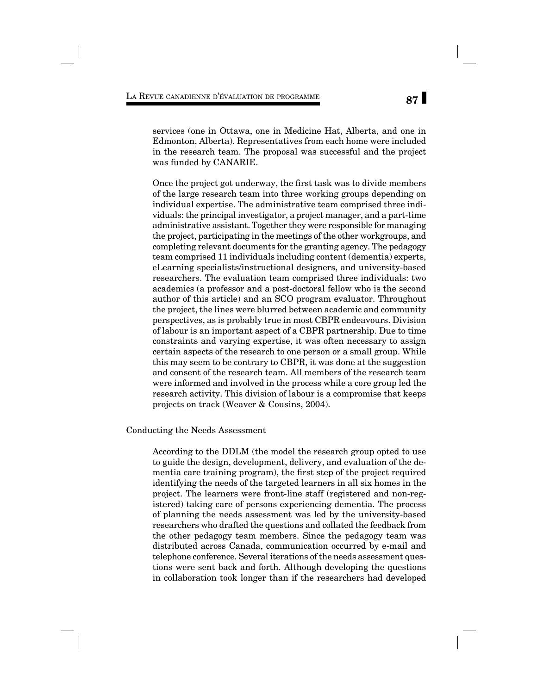services (one in Ottawa, one in Medicine Hat, Alberta, and one in Edmonton, Alberta). Representatives from each home were included in the research team. The proposal was successful and the project was funded by CANARIE.

Once the project got underway, the first task was to divide members of the large research team into three working groups depending on individual expertise. The administrative team comprised three individuals: the principal investigator, a project manager, and a part-time administrative assistant. Together they were responsible for managing the project, participating in the meetings of the other workgroups, and completing relevant documents for the granting agency. The pedagogy team comprised 11 individuals including content (dementia) experts, eLearning specialists/instructional designers, and university-based researchers. The evaluation team comprised three individuals: two academics (a professor and a post-doctoral fellow who is the second author of this article) and an SCO program evaluator. Throughout the project, the lines were blurred between academic and community perspectives, as is probably true in most CBPR endeavours. Division of labour is an important aspect of a CBPR partnership. Due to time constraints and varying expertise, it was often necessary to assign certain aspects of the research to one person or a small group. While this may seem to be contrary to CBPR, it was done at the suggestion and consent of the research team. All members of the research team were informed and involved in the process while a core group led the research activity. This division of labour is a compromise that keeps projects on track (Weaver & Cousins, 2004).

#### Conducting the Needs Assessment

According to the DDLM (the model the research group opted to use to guide the design, development, delivery, and evaluation of the dementia care training program), the first step of the project required identifying the needs of the targeted learners in all six homes in the project. The learners were front-line staff (registered and non-registered) taking care of persons experiencing dementia. The process of planning the needs assessment was led by the university-based researchers who drafted the questions and collated the feedback from the other pedagogy team members. Since the pedagogy team was distributed across Canada, communication occurred by e-mail and telephone conference. Several iterations of the needs assessment questions were sent back and forth. Although developing the questions in collaboration took longer than if the researchers had developed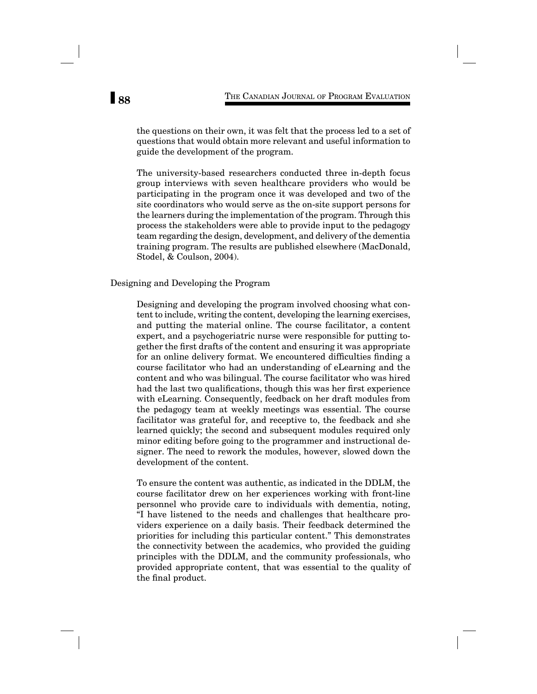the questions on their own, it was felt that the process led to a set of questions that would obtain more relevant and useful information to guide the development of the program.

The university-based researchers conducted three in-depth focus group interviews with seven healthcare providers who would be participating in the program once it was developed and two of the site coordinators who would serve as the on-site support persons for the learners during the implementation of the program. Through this process the stakeholders were able to provide input to the pedagogy team regarding the design, development, and delivery of the dementia training program. The results are published elsewhere (MacDonald, Stodel, & Coulson, 2004).

#### Designing and Developing the Program

Designing and developing the program involved choosing what content to include, writing the content, developing the learning exercises, and putting the material online. The course facilitator, a content expert, and a psychogeriatric nurse were responsible for putting together the first drafts of the content and ensuring it was appropriate for an online delivery format. We encountered difficulties finding a course facilitator who had an understanding of eLearning and the content and who was bilingual. The course facilitator who was hired had the last two qualifications, though this was her first experience with eLearning. Consequently, feedback on her draft modules from the pedagogy team at weekly meetings was essential. The course facilitator was grateful for, and receptive to, the feedback and she learned quickly; the second and subsequent modules required only minor editing before going to the programmer and instructional designer. The need to rework the modules, however, slowed down the development of the content.

To ensure the content was authentic, as indicated in the DDLM, the course facilitator drew on her experiences working with front-line personnel who provide care to individuals with dementia, noting, "I have listened to the needs and challenges that healthcare providers experience on a daily basis. Their feedback determined the priorities for including this particular content." This demonstrates the connectivity between the academics, who provided the guiding principles with the DDLM, and the community professionals, who provided appropriate content, that was essential to the quality of the final product.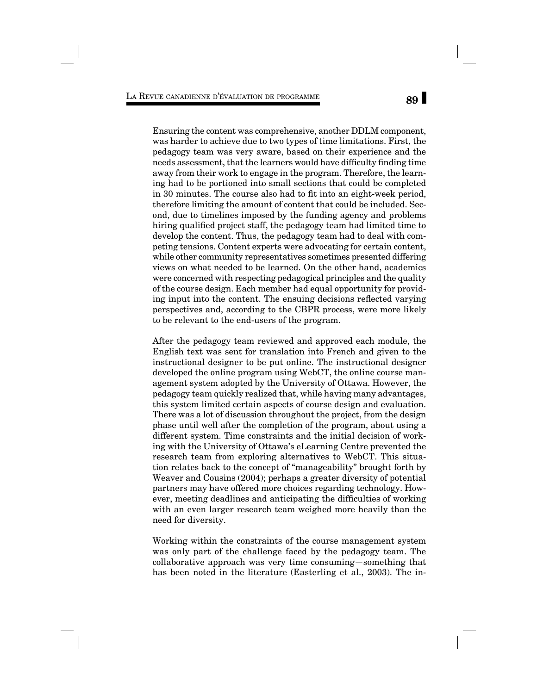Ensuring the content was comprehensive, another DDLM component, was harder to achieve due to two types of time limitations. First, the pedagogy team was very aware, based on their experience and the needs assessment, that the learners would have difficulty finding time away from their work to engage in the program. Therefore, the learning had to be portioned into small sections that could be completed in 30 minutes. The course also had to fit into an eight-week period, therefore limiting the amount of content that could be included. Second, due to timelines imposed by the funding agency and problems hiring qualified project staff, the pedagogy team had limited time to develop the content. Thus, the pedagogy team had to deal with competing tensions. Content experts were advocating for certain content, while other community representatives sometimes presented differing views on what needed to be learned. On the other hand, academics were concerned with respecting pedagogical principles and the quality of the course design. Each member had equal opportunity for providing input into the content. The ensuing decisions reflected varying perspectives and, according to the CBPR process, were more likely to be relevant to the end-users of the program.

After the pedagogy team reviewed and approved each module, the English text was sent for translation into French and given to the instructional designer to be put online. The instructional designer developed the online program using WebCT, the online course management system adopted by the University of Ottawa. However, the pedagogy team quickly realized that, while having many advantages, this system limited certain aspects of course design and evaluation. There was a lot of discussion throughout the project, from the design phase until well after the completion of the program, about using a different system. Time constraints and the initial decision of working with the University of Ottawa's eLearning Centre prevented the research team from exploring alternatives to WebCT. This situation relates back to the concept of "manageability" brought forth by Weaver and Cousins (2004); perhaps a greater diversity of potential partners may have offered more choices regarding technology. However, meeting deadlines and anticipating the difficulties of working with an even larger research team weighed more heavily than the need for diversity.

Working within the constraints of the course management system was only part of the challenge faced by the pedagogy team. The collaborative approach was very time consuming—something that has been noted in the literature (Easterling et al., 2003). The in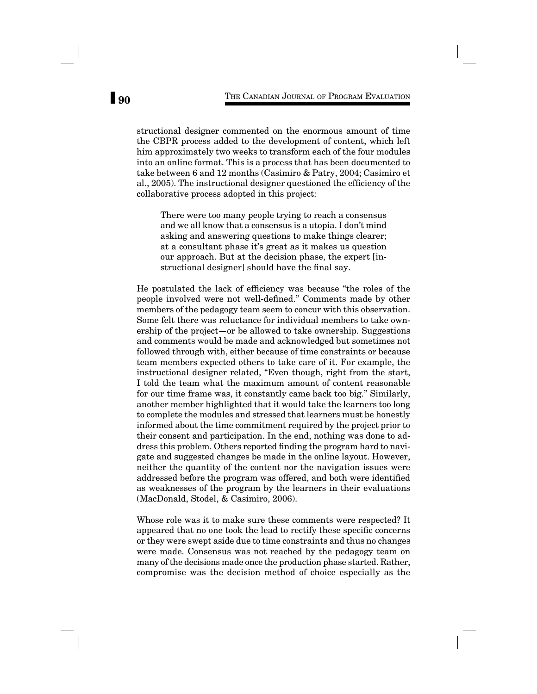structional designer commented on the enormous amount of time the CBPR process added to the development of content, which left him approximately two weeks to transform each of the four modules into an online format. This is a process that has been documented to take between 6 and 12 months (Casimiro & Patry, 2004; Casimiro et al., 2005). The instructional designer questioned the efficiency of the collaborative process adopted in this project:

There were too many people trying to reach a consensus and we all know that a consensus is a utopia. I don't mind asking and answering questions to make things clearer; at a consultant phase it's great as it makes us question our approach. But at the decision phase, the expert [instructional designer] should have the final say.

He postulated the lack of efficiency was because "the roles of the people involved were not well-defined." Comments made by other members of the pedagogy team seem to concur with this observation. Some felt there was reluctance for individual members to take ownership of the project—or be allowed to take ownership. Suggestions and comments would be made and acknowledged but sometimes not followed through with, either because of time constraints or because team members expected others to take care of it. For example, the instructional designer related, "Even though, right from the start, I told the team what the maximum amount of content reasonable for our time frame was, it constantly came back too big." Similarly, another member highlighted that it would take the learners too long to complete the modules and stressed that learners must be honestly informed about the time commitment required by the project prior to their consent and participation. In the end, nothing was done to address this problem. Others reported finding the program hard to navigate and suggested changes be made in the online layout. However, neither the quantity of the content nor the navigation issues were addressed before the program was offered, and both were identified as weaknesses of the program by the learners in their evaluations (MacDonald, Stodel, & Casimiro, 2006).

Whose role was it to make sure these comments were respected? It appeared that no one took the lead to rectify these specific concerns or they were swept aside due to time constraints and thus no changes were made. Consensus was not reached by the pedagogy team on many of the decisions made once the production phase started. Rather, compromise was the decision method of choice especially as the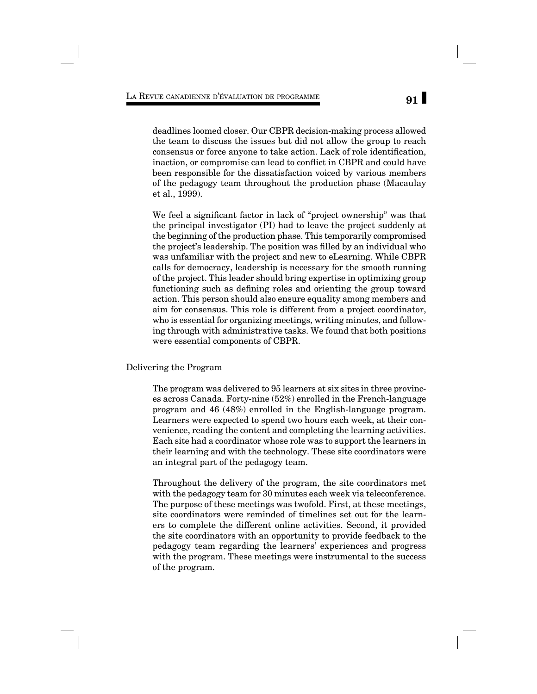deadlines loomed closer. Our CBPR decision-making process allowed the team to discuss the issues but did not allow the group to reach consensus or force anyone to take action. Lack of role identification, inaction, or compromise can lead to conflict in CBPR and could have been responsible for the dissatisfaction voiced by various members of the pedagogy team throughout the production phase (Macaulay et al., 1999).

We feel a significant factor in lack of "project ownership" was that the principal investigator (PI) had to leave the project suddenly at the beginning of the production phase. This temporarily compromised the project's leadership. The position was filled by an individual who was unfamiliar with the project and new to eLearning. While CBPR calls for democracy, leadership is necessary for the smooth running of the project. This leader should bring expertise in optimizing group functioning such as defining roles and orienting the group toward action. This person should also ensure equality among members and aim for consensus. This role is different from a project coordinator, who is essential for organizing meetings, writing minutes, and following through with administrative tasks. We found that both positions were essential components of CBPR.

Delivering the Program

The program was delivered to 95 learners at six sites in three provinces across Canada. Forty-nine (52%) enrolled in the French-language program and 46 (48%) enrolled in the English-language program. Learners were expected to spend two hours each week, at their convenience, reading the content and completing the learning activities. Each site had a coordinator whose role was to support the learners in their learning and with the technology. These site coordinators were an integral part of the pedagogy team.

Throughout the delivery of the program, the site coordinators met with the pedagogy team for 30 minutes each week via teleconference. The purpose of these meetings was twofold. First, at these meetings, site coordinators were reminded of timelines set out for the learners to complete the different online activities. Second, it provided the site coordinators with an opportunity to provide feedback to the pedagogy team regarding the learners' experiences and progress with the program. These meetings were instrumental to the success of the program.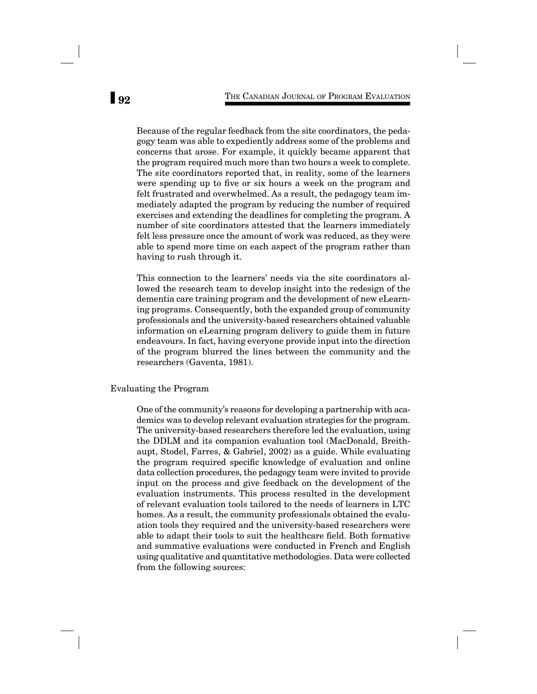Because of the regular feedback from the site coordinators, the pedagogy team was able to expediently address some of the problems and concerns that arose. For example, it quickly became apparent that the program required much more than two hours a week to complete. The site coordinators reported that, in reality, some of the learners were spending up to five or six hours a week on the program and felt frustrated and overwhelmed. As a result, the pedagogy team immediately adapted the program by reducing the number of required exercises and extending the deadlines for completing the program. A number of site coordinators attested that the learners immediately felt less pressure once the amount of work was reduced, as they were able to spend more time on each aspect of the program rather than having to rush through it.

This connection to the learners' needs via the site coordinators allowed the research team to develop insight into the redesign of the dementia care training program and the development of new eLearning programs. Consequently, both the expanded group of community professionals and the university-based researchers obtained valuable information on eLearning program delivery to guide them in future endeavours. In fact, having everyone provide input into the direction of the program blurred the lines between the community and the researchers (Gaventa, 1981).

#### Evaluating the Program

One of the community's reasons for developing a partnership with academics was to develop relevant evaluation strategies for the program. The university-based researchers therefore led the evaluation, using the DDLM and its companion evaluation tool (MacDonald, Breithaupt, Stodel, Farres, & Gabriel, 2002) as a guide. While evaluating the program required specific knowledge of evaluation and online data collection procedures, the pedagogy team were invited to provide input on the process and give feedback on the development of the evaluation instruments. This process resulted in the development of relevant evaluation tools tailored to the needs of learners in LTC homes. As a result, the community professionals obtained the evaluation tools they required and the university-based researchers were able to adapt their tools to suit the healthcare field. Both formative and summative evaluations were conducted in French and English using qualitative and quantitative methodologies. Data were collected from the following sources: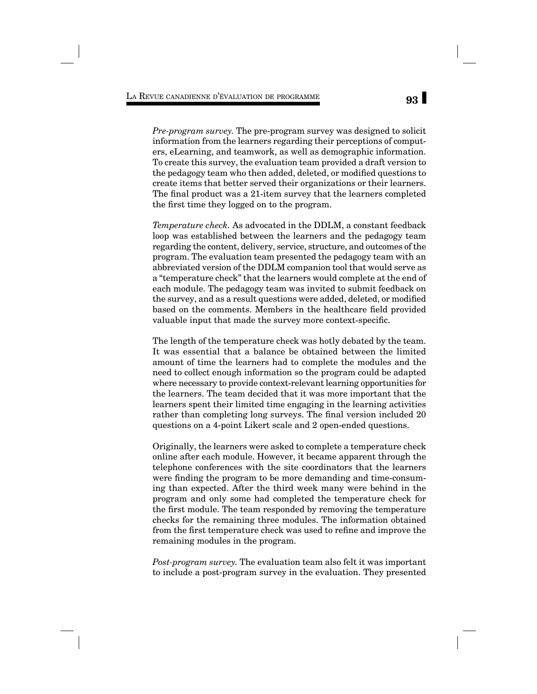*Pre-program survey.* The pre-program survey was designed to solicit information from the learners regarding their perceptions of computers, eLearning, and teamwork, as well as demographic information. To create this survey, the evaluation team provided a draft version to the pedagogy team who then added, deleted, or modified questions to create items that better served their organizations or their learners. The final product was a 21-item survey that the learners completed the first time they logged on to the program.

*Temperature check.* As advocated in the DDLM, a constant feedback loop was established between the learners and the pedagogy team regarding the content, delivery, service, structure, and outcomes of the program. The evaluation team presented the pedagogy team with an abbreviated version of the DDLM companion tool that would serve as a "temperature check" that the learners would complete at the end of each module. The pedagogy team was invited to submit feedback on the survey, and as a result questions were added, deleted, or modified based on the comments. Members in the healthcare field provided valuable input that made the survey more context-specific.

The length of the temperature check was hotly debated by the team. It was essential that a balance be obtained between the limited amount of time the learners had to complete the modules and the need to collect enough information so the program could be adapted where necessary to provide context-relevant learning opportunities for the learners. The team decided that it was more important that the learners spent their limited time engaging in the learning activities rather than completing long surveys. The final version included 20 questions on a 4-point Likert scale and 2 open-ended questions.

Originally, the learners were asked to complete a temperature check online after each module. However, it became apparent through the telephone conferences with the site coordinators that the learners were finding the program to be more demanding and time-consuming than expected. After the third week many were behind in the program and only some had completed the temperature check for the first module. The team responded by removing the temperature checks for the remaining three modules. The information obtained from the first temperature check was used to refine and improve the remaining modules in the program.

*Post-program survey.* The evaluation team also felt it was important to include a post-program survey in the evaluation. They presented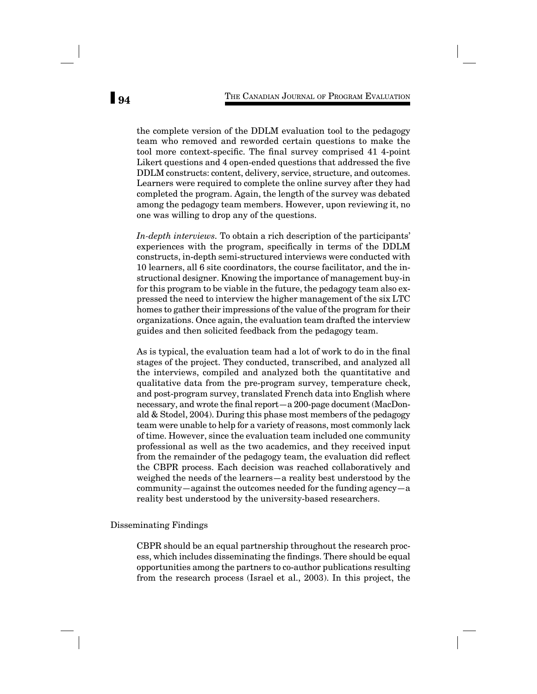the complete version of the DDLM evaluation tool to the pedagogy team who removed and reworded certain questions to make the tool more context-specific. The final survey comprised 41 4-point Likert questions and 4 open-ended questions that addressed the five DDLM constructs: content, delivery, service, structure, and outcomes. Learners were required to complete the online survey after they had completed the program. Again, the length of the survey was debated among the pedagogy team members. However, upon reviewing it, no one was willing to drop any of the questions.

*In-depth interviews.* To obtain a rich description of the participants' experiences with the program, specifically in terms of the DDLM constructs, in-depth semi-structured interviews were conducted with 10 learners, all 6 site coordinators, the course facilitator, and the instructional designer. Knowing the importance of management buy-in for this program to be viable in the future, the pedagogy team also expressed the need to interview the higher management of the six LTC homes to gather their impressions of the value of the program for their organizations. Once again, the evaluation team drafted the interview guides and then solicited feedback from the pedagogy team.

As is typical, the evaluation team had a lot of work to do in the final stages of the project. They conducted, transcribed, and analyzed all the interviews, compiled and analyzed both the quantitative and qualitative data from the pre-program survey, temperature check, and post-program survey, translated French data into English where necessary, and wrote the final report—a 200-page document (MacDonald & Stodel, 2004). During this phase most members of the pedagogy team were unable to help for a variety of reasons, most commonly lack of time. However, since the evaluation team included one community professional as well as the two academics, and they received input from the remainder of the pedagogy team, the evaluation did reflect the CBPR process. Each decision was reached collaboratively and weighed the needs of the learners—a reality best understood by the community—against the outcomes needed for the funding agency—a reality best understood by the university-based researchers.

### Disseminating Findings

CBPR should be an equal partnership throughout the research process, which includes disseminating the findings. There should be equal opportunities among the partners to co-author publications resulting from the research process (Israel et al., 2003). In this project, the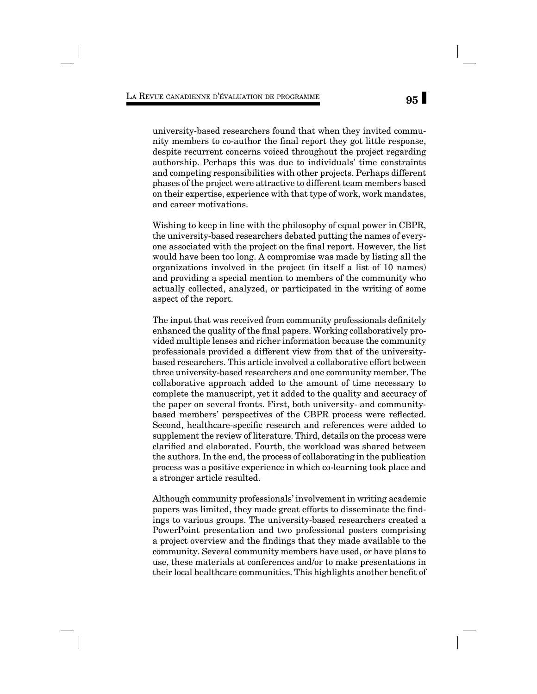university-based researchers found that when they invited community members to co-author the final report they got little response, despite recurrent concerns voiced throughout the project regarding authorship. Perhaps this was due to individuals' time constraints and competing responsibilities with other projects. Perhaps different phases of the project were attractive to different team members based on their expertise, experience with that type of work, work mandates, and career motivations.

Wishing to keep in line with the philosophy of equal power in CBPR, the university-based researchers debated putting the names of everyone associated with the project on the final report. However, the list would have been too long. A compromise was made by listing all the organizations involved in the project (in itself a list of 10 names) and providing a special mention to members of the community who actually collected, analyzed, or participated in the writing of some aspect of the report.

The input that was received from community professionals definitely enhanced the quality of the final papers. Working collaboratively provided multiple lenses and richer information because the community professionals provided a different view from that of the universitybased researchers. This article involved a collaborative effort between three university-based researchers and one community member. The collaborative approach added to the amount of time necessary to complete the manuscript, yet it added to the quality and accuracy of the paper on several fronts. First, both university- and communitybased members' perspectives of the CBPR process were reflected. Second, healthcare-specific research and references were added to supplement the review of literature. Third, details on the process were clarified and elaborated. Fourth, the workload was shared between the authors. In the end, the process of collaborating in the publication process was a positive experience in which co-learning took place and a stronger article resulted.

Although community professionals' involvement in writing academic papers was limited, they made great efforts to disseminate the findings to various groups. The university-based researchers created a PowerPoint presentation and two professional posters comprising a project overview and the findings that they made available to the community. Several community members have used, or have plans to use, these materials at conferences and/or to make presentations in their local healthcare communities. This highlights another benefit of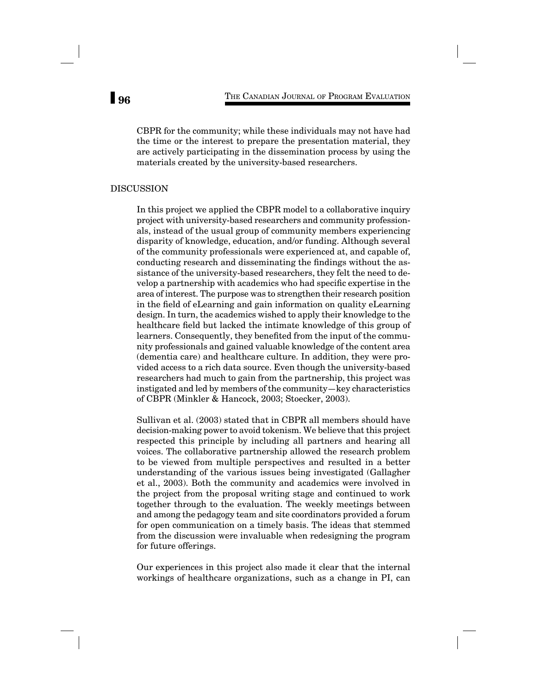CBPR for the community; while these individuals may not have had the time or the interest to prepare the presentation material, they are actively participating in the dissemination process by using the materials created by the university-based researchers.

## DISCUSSION

In this project we applied the CBPR model to a collaborative inquiry project with university-based researchers and community professionals, instead of the usual group of community members experiencing disparity of knowledge, education, and/or funding. Although several of the community professionals were experienced at, and capable of, conducting research and disseminating the findings without the assistance of the university-based researchers, they felt the need to develop a partnership with academics who had specific expertise in the area of interest. The purpose was to strengthen their research position in the field of eLearning and gain information on quality eLearning design. In turn, the academics wished to apply their knowledge to the healthcare field but lacked the intimate knowledge of this group of learners. Consequently, they benefited from the input of the community professionals and gained valuable knowledge of the content area (dementia care) and healthcare culture. In addition, they were provided access to a rich data source. Even though the university-based researchers had much to gain from the partnership, this project was instigated and led by members of the community—key characteristics of CBPR (Minkler & Hancock, 2003; Stoecker, 2003).

Sullivan et al. (2003) stated that in CBPR all members should have decision-making power to avoid tokenism. We believe that this project respected this principle by including all partners and hearing all voices. The collaborative partnership allowed the research problem to be viewed from multiple perspectives and resulted in a better understanding of the various issues being investigated (Gallagher et al., 2003). Both the community and academics were involved in the project from the proposal writing stage and continued to work together through to the evaluation. The weekly meetings between and among the pedagogy team and site coordinators provided a forum for open communication on a timely basis. The ideas that stemmed from the discussion were invaluable when redesigning the program for future offerings.

Our experiences in this project also made it clear that the internal workings of healthcare organizations, such as a change in PI, can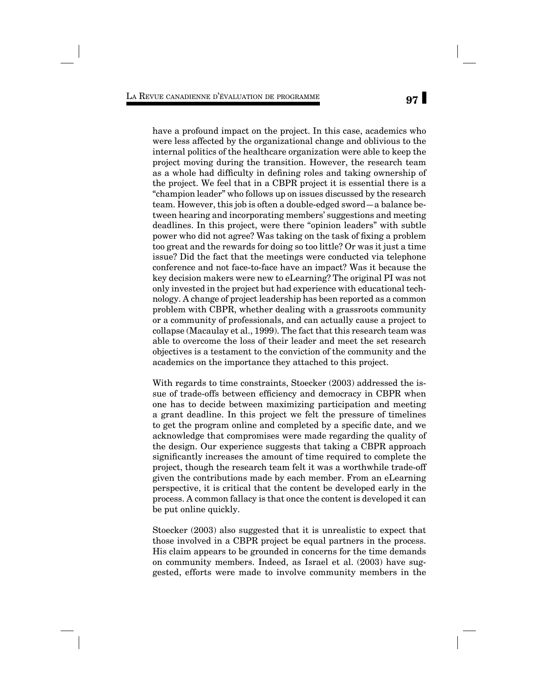have a profound impact on the project. In this case, academics who were less affected by the organizational change and oblivious to the internal politics of the healthcare organization were able to keep the project moving during the transition. However, the research team as a whole had difficulty in defining roles and taking ownership of the project. We feel that in a CBPR project it is essential there is a "champion leader" who follows up on issues discussed by the research team. However, this job is often a double-edged sword—a balance between hearing and incorporating members' suggestions and meeting deadlines. In this project, were there "opinion leaders" with subtle power who did not agree? Was taking on the task of fixing a problem too great and the rewards for doing so too little? Or was it just a time issue? Did the fact that the meetings were conducted via telephone conference and not face-to-face have an impact? Was it because the key decision makers were new to eLearning? The original PI was not only invested in the project but had experience with educational technology. A change of project leadership has been reported as a common problem with CBPR, whether dealing with a grassroots community or a community of professionals, and can actually cause a project to collapse (Macaulay et al., 1999). The fact that this research team was able to overcome the loss of their leader and meet the set research objectives is a testament to the conviction of the community and the academics on the importance they attached to this project.

With regards to time constraints, Stoecker (2003) addressed the issue of trade-offs between efficiency and democracy in CBPR when one has to decide between maximizing participation and meeting a grant deadline. In this project we felt the pressure of timelines to get the program online and completed by a specific date, and we acknowledge that compromises were made regarding the quality of the design. Our experience suggests that taking a CBPR approach significantly increases the amount of time required to complete the project, though the research team felt it was a worthwhile trade-off given the contributions made by each member. From an eLearning perspective, it is critical that the content be developed early in the process. A common fallacy is that once the content is developed it can be put online quickly.

Stoecker (2003) also suggested that it is unrealistic to expect that those involved in a CBPR project be equal partners in the process. His claim appears to be grounded in concerns for the time demands on community members. Indeed, as Israel et al. (2003) have suggested, efforts were made to involve community members in the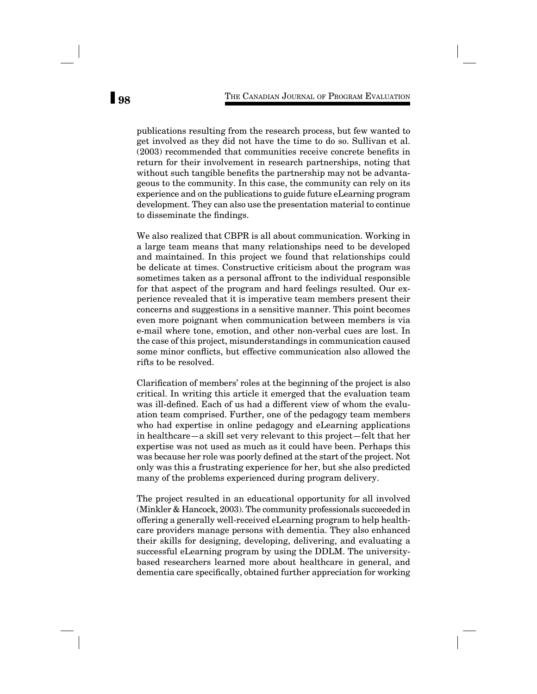publications resulting from the research process, but few wanted to get involved as they did not have the time to do so. Sullivan et al.  $(2003)$  recommended that communities receive concrete benefits in return for their involvement in research partnerships, noting that without such tangible benefits the partnership may not be advantageous to the community. In this case, the community can rely on its experience and on the publications to guide future eLearning program development. They can also use the presentation material to continue to disseminate the findings.

We also realized that CBPR is all about communication. Working in a large team means that many relationships need to be developed and maintained. In this project we found that relationships could be delicate at times. Constructive criticism about the program was sometimes taken as a personal affront to the individual responsible for that aspect of the program and hard feelings resulted. Our experience revealed that it is imperative team members present their concerns and suggestions in a sensitive manner. This point becomes even more poignant when communication between members is via e-mail where tone, emotion, and other non-verbal cues are lost. In the case of this project, misunderstandings in communication caused some minor conflicts, but effective communication also allowed the rifts to be resolved.

Clarification of members' roles at the beginning of the project is also critical. In writing this article it emerged that the evaluation team was ill-defined. Each of us had a different view of whom the evaluation team comprised. Further, one of the pedagogy team members who had expertise in online pedagogy and eLearning applications in healthcare—a skill set very relevant to this project—felt that her expertise was not used as much as it could have been. Perhaps this was because her role was poorly defined at the start of the project. Not only was this a frustrating experience for her, but she also predicted many of the problems experienced during program delivery.

The project resulted in an educational opportunity for all involved (Minkler & Hancock, 2003). The community professionals succeeded in offering a generally well-received eLearning program to help healthcare providers manage persons with dementia. They also enhanced their skills for designing, developing, delivering, and evaluating a successful eLearning program by using the DDLM. The universitybased researchers learned more about healthcare in general, and dementia care specifically, obtained further appreciation for working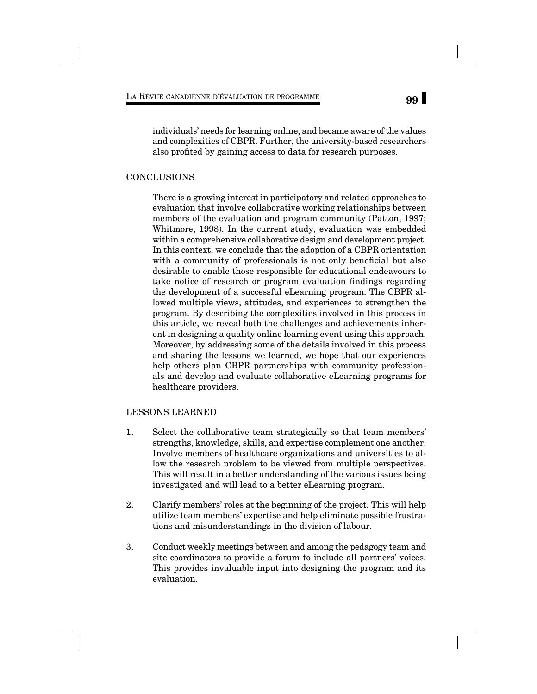individuals' needs for learning online, and became aware of the values and complexities of CBPR. Further, the university-based researchers also profited by gaining access to data for research purposes.

### CONCLUSIONS

There is a growing interest in participatory and related approaches to evaluation that involve collaborative working relationships between members of the evaluation and program community (Patton, 1997; Whitmore, 1998). In the current study, evaluation was embedded within a comprehensive collaborative design and development project. In this context, we conclude that the adoption of a CBPR orientation with a community of professionals is not only beneficial but also desirable to enable those responsible for educational endeavours to take notice of research or program evaluation findings regarding the development of a successful eLearning program. The CBPR allowed multiple views, attitudes, and experiences to strengthen the program. By describing the complexities involved in this process in this article, we reveal both the challenges and achievements inherent in designing a quality online learning event using this approach. Moreover, by addressing some of the details involved in this process and sharing the lessons we learned, we hope that our experiences help others plan CBPR partnerships with community professionals and develop and evaluate collaborative eLearning programs for healthcare providers.

# LESSONS LEARNED

- 1. Select the collaborative team strategically so that team members' strengths, knowledge, skills, and expertise complement one another. Involve members of healthcare organizations and universities to allow the research problem to be viewed from multiple perspectives. This will result in a better understanding of the various issues being investigated and will lead to a better eLearning program.
- 2. Clarify members' roles at the beginning of the project. This will help utilize team members' expertise and help eliminate possible frustrations and misunderstandings in the division of labour.
- 3. Conduct weekly meetings between and among the pedagogy team and site coordinators to provide a forum to include all partners' voices. This provides invaluable input into designing the program and its evaluation.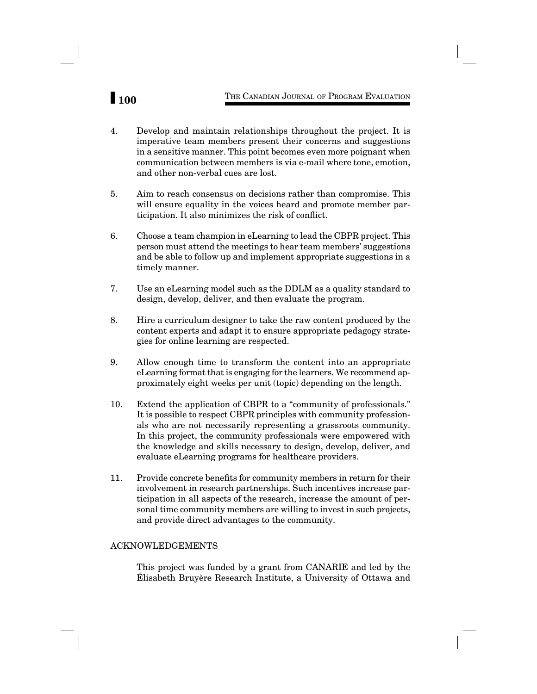# **100** THE CANADIAN JOURNAL OF PROGRAM EVALUATION

- 4. Develop and maintain relationships throughout the project. It is imperative team members present their concerns and suggestions in a sensitive manner. This point becomes even more poignant when communication between members is via e-mail where tone, emotion, and other non-verbal cues are lost.
- 5. Aim to reach consensus on decisions rather than compromise. This will ensure equality in the voices heard and promote member participation. It also minimizes the risk of conflict.
- 6. Choose a team champion in eLearning to lead the CBPR project. This person must attend the meetings to hear team members' suggestions and be able to follow up and implement appropriate suggestions in a timely manner.
- 7. Use an eLearning model such as the DDLM as a quality standard to design, develop, deliver, and then evaluate the program.
- 8. Hire a curriculum designer to take the raw content produced by the content experts and adapt it to ensure appropriate pedagogy strategies for online learning are respected.
- 9. Allow enough time to transform the content into an appropriate eLearning format that is engaging for the learners. We recommend approximately eight weeks per unit (topic) depending on the length.
- 10. Extend the application of CBPR to a "community of professionals." It is possible to respect CBPR principles with community professionals who are not necessarily representing a grassroots community. In this project, the community professionals were empowered with the knowledge and skills necessary to design, develop, deliver, and evaluate eLearning programs for healthcare providers.
- 11. Provide concrete benefits for community members in return for their involvement in research partnerships. Such incentives increase participation in all aspects of the research, increase the amount of personal time community members are willing to invest in such projects, and provide direct advantages to the community.

# ACKNOWLEDGEMENTS

This project was funded by a grant from CANARIE and led by the Élisabeth Bruyère Research Institute, a University of Ottawa and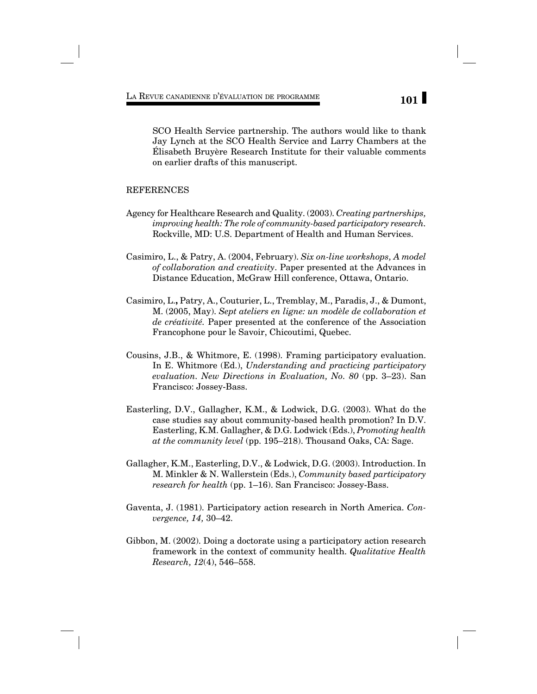SCO Health Service partnership. The authors would like to thank Jay Lynch at the SCO Health Service and Larry Chambers at the Élisabeth Bruyère Research Institute for their valuable comments on earlier drafts of this manuscript.

# **REFERENCES**

- Agency for Healthcare Research and Quality. (2003). *Creating partnerships, improving health: The role of community-based participatory research.* Rockville, MD: U.S. Department of Health and Human Services.
- Casimiro, L., & Patry, A. (2004, February). *Six on-line workshops, A model of collaboration and creativity*. Paper presented at the Advances in Distance Education, McGraw Hill conference, Ottawa, Ontario.
- Casimiro, L.**,** Patry, A., Couturier, L., Tremblay, M., Paradis, J., & Dumont, M. (2005, May). *Sept ateliers en ligne: un modèle de collaboration et de créativité.* Paper presented at the conference of the Association Francophone pour le Savoir, Chicoutimi, Quebec.
- Cousins, J.B., & Whitmore, E. (1998). Framing participatory evaluation. In E. Whitmore (Ed.), *Understanding and practicing participatory evaluation. New Directions in Evaluation, No. 80* (pp. 3–23). San Francisco: Jossey-Bass.
- Easterling, D.V., Gallagher, K.M., & Lodwick, D.G. (2003). What do the case studies say about community-based health promotion? In D.V. Easterling, K.M. Gallagher, & D.G. Lodwick (Eds.), *Promoting health at the community level* (pp. 195–218). Thousand Oaks, CA: Sage.
- Gallagher, K.M., Easterling, D.V., & Lodwick, D.G. (2003). Introduction. In M. Minkler & N. Wallerstein (Eds.), *Community based participatory research for health* (pp. 1–16). San Francisco: Jossey-Bass.
- Gaventa, J. (1981). Participatory action research in North America. *Convergence, 14,* 30–42.
- Gibbon, M. (2002). Doing a doctorate using a participatory action research framework in the context of community health. *Qualitative Health Research, 12*(4), 546–558.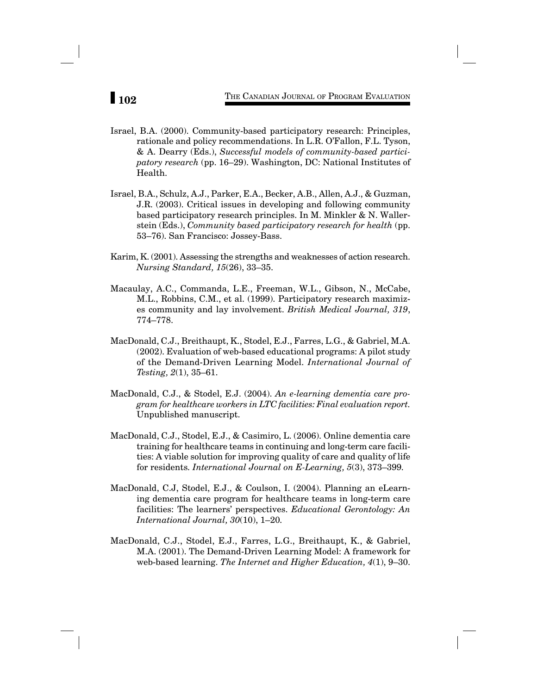- Israel, B.A. (2000). Community-based participatory research: Principles, rationale and policy recommendations. In L.R. O'Fallon, F.L. Tyson, & A. Dearry (Eds.), *Successful models of community-based participatory research* (pp. 16–29). Washington, DC: National Institutes of Health.
- Israel, B.A., Schulz, A.J., Parker, E.A., Becker, A.B., Allen, A.J., & Guzman, J.R. (2003). Critical issues in developing and following community based participatory research principles. In M. Minkler & N. Wallerstein (Eds.), *Community based participatory research for health* (pp. 53–76). San Francisco: Jossey-Bass.
- Karim, K. (2001). Assessing the strengths and weaknesses of action research. *Nursing Standard, 15*(26), 33–35.
- Macaulay, A.C., Commanda, L.E., Freeman, W.L., Gibson, N., McCabe, M.L., Robbins, C.M., et al. (1999). Participatory research maximizes community and lay involvement. *British Medical Journal, 319*, 774–778.
- MacDonald, C.J., Breithaupt, K., Stodel, E.J., Farres, L.G., & Gabriel, M.A. (2002). Evaluation of web-based educational programs: A pilot study of the Demand-Driven Learning Model. *International Journal of Testing, 2*(1), 35–61.
- MacDonald, C.J., & Stodel, E.J. (2004). *An e-learning dementia care program for healthcare workers in LTC facilities: Final evaluation report.* Unpublished manuscript.
- MacDonald, C.J., Stodel, E.J., & Casimiro, L. (2006). Online dementia care training for healthcare teams in continuing and long-term care facilities: A viable solution for improving quality of care and quality of life for residents*. International Journal on E-Learning, 5*(3), 373–399*.*
- MacDonald, C.J, Stodel, E.J., & Coulson, I. (2004). Planning an eLearning dementia care program for healthcare teams in long-term care facilities: The learners' perspectives. *Educational Gerontology: An International Journal, 30*(10), 1–20*.*
- MacDonald, C.J., Stodel, E.J., Farres, L.G., Breithaupt, K., & Gabriel, M.A. (2001). The Demand-Driven Learning Model: A framework for web-based learning. *The Internet and Higher Education, 4*(1), 9–30.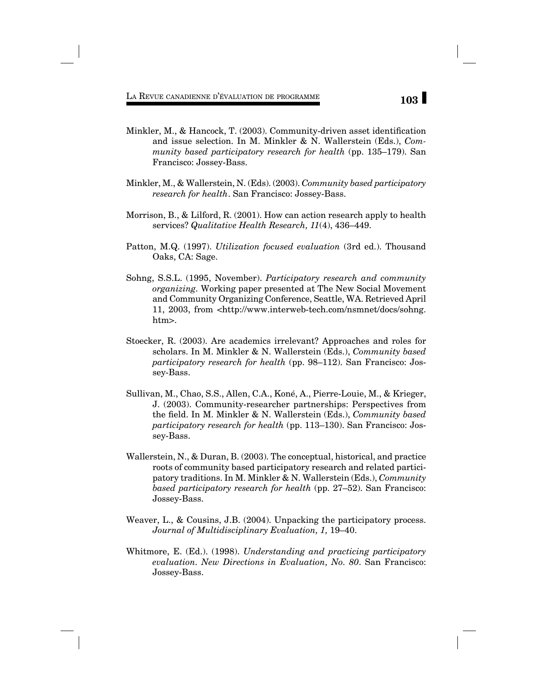- Minkler, M., & Hancock, T.  $(2003)$ . Community-driven asset identification and issue selection. In M. Minkler & N. Wallerstein (Eds.), *Community based participatory research for health* (pp. 135–179). San Francisco: Jossey-Bass.
- Minkler, M., & Wallerstein, N. (Eds). (2003). *Community based participatory research for health*. San Francisco: Jossey-Bass.
- Morrison, B., & Lilford, R. (2001). How can action research apply to health services? *Qualitative Health Research, 11*(4), 436–449.
- Patton, M.Q. (1997). *Utilization focused evaluation* (3rd ed.). Thousand Oaks, CA: Sage.
- Sohng, S.S.L. (1995, November). *Participatory research and community organizing.* Working paper presented at The New Social Movement and Community Organizing Conference, Seattle, WA. Retrieved April 11, 2003, from <http://www.interweb-tech.com/nsmnet/docs/sohng. htm>.
- Stoecker, R. (2003). Are academics irrelevant? Approaches and roles for scholars. In M. Minkler & N. Wallerstein (Eds.), *Community based participatory research for health* (pp. 98–112). San Francisco: Jossey-Bass.
- Sullivan, M., Chao, S.S., Allen, C.A., Koné, A., Pierre-Louie, M., & Krieger, J. (2003). Community-researcher partnerships: Perspectives from the field. In M. Minkler & N. Wallerstein (Eds.), *Community based participatory research for health* (pp. 113–130). San Francisco: Jossey-Bass.
- Wallerstein, N., & Duran, B. (2003). The conceptual, historical, and practice roots of community based participatory research and related participatory traditions. In M. Minkler & N. Wallerstein (Eds.), *Community based participatory research for health* (pp. 27–52). San Francisco: Jossey-Bass.
- Weaver, L., & Cousins, J.B. (2004). Unpacking the participatory process. *Journal of Multidisciplinary Evaluation, 1,* 19–40.
- Whitmore, E. (Ed.). (1998). *Understanding and practicing participatory evaluation. New Directions in Evaluation, No. 80*. San Francisco: Jossey-Bass.